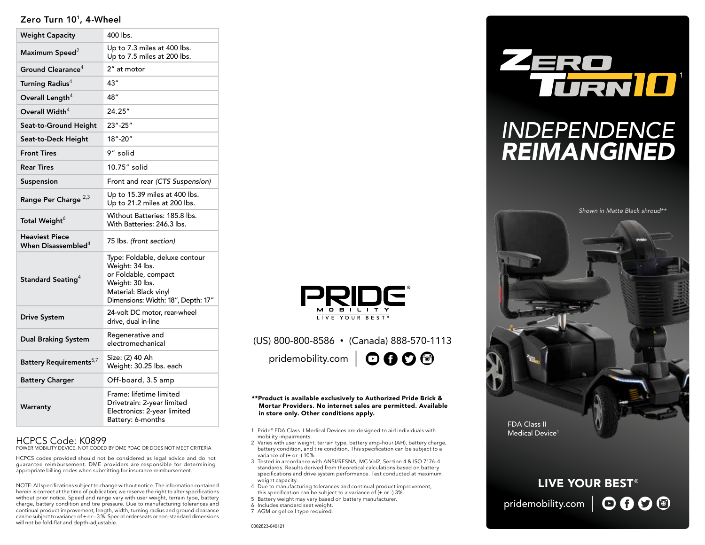### Zero Turn 10<sup>1</sup>, 4-Wheel

| <b>Weight Capacity</b>                          | 400 lbs.                                                                                                                                                    |
|-------------------------------------------------|-------------------------------------------------------------------------------------------------------------------------------------------------------------|
| Maximum Speed <sup>2</sup>                      | Up to 7.3 miles at 400 lbs.<br>Up to 7.5 miles at 200 lbs.                                                                                                  |
| Ground Clearance <sup>4</sup>                   | 2" at motor                                                                                                                                                 |
| Turning Radius <sup>4</sup>                     | 43"                                                                                                                                                         |
| Overall Length <sup>4</sup>                     | 48"                                                                                                                                                         |
| Overall Width $4$                               | 24.25"                                                                                                                                                      |
| Seat-to-Ground Height                           | 23"-25"                                                                                                                                                     |
| Seat-to-Deck Height                             | 18"-20"                                                                                                                                                     |
| <b>Front Tires</b>                              | 9″ solid                                                                                                                                                    |
| <b>Rear Tires</b>                               | 10.75" solid                                                                                                                                                |
| Suspension                                      | Front and rear (CTS Suspension)                                                                                                                             |
| Range Per Charge <sup>2,3</sup>                 | Up to 15.39 miles at 400 lbs.<br>Up to 21.2 miles at 200 lbs.                                                                                               |
| Total Weight <sup>6</sup>                       | Without Batteries: 185.8 lbs.<br>With Batteries: 246.3 lbs.                                                                                                 |
| <b>Heaviest Piece</b><br>When Disassembled $^4$ | 75 lbs. (front section)                                                                                                                                     |
| Standard Seating $4$                            | Type: Foldable, deluxe contour<br>Weight: 34 lbs.<br>or Foldable, compact<br>Weight: 30 lbs.<br>Material: Black vinyl<br>Dimensions: Width: 18", Depth: 17" |
| <b>Drive System</b>                             | 24-volt DC motor, rear-wheel<br>drive, dual in-line                                                                                                         |
| <b>Dual Braking System</b>                      | Regenerative and<br>electromechanical                                                                                                                       |
| Battery Requirements <sup>5,7</sup>             | Size: (2) 40 Ah<br>Weight: 30.25 lbs. each                                                                                                                  |
| <b>Battery Charger</b>                          | Off-board, 3.5 amp                                                                                                                                          |
| Warranty                                        | Frame: lifetime limited<br>Drivetrain: 2-year limited<br>Electronics: 2-year limited<br>Battery: 6-months                                                   |

### HCPCS Code: K0899

POWER MOBILITY DEVICE, NOT CODED BY DME PDAC OR DOES NOT MEET CRITERIA

HCPCS codes provided should not be considered as legal advice and do not guarantee reimbursement. DME providers are responsible for determining appropriate billing codes when submitting for insurance reimbursement.

NOTE: All specifications subject to change without notice. The information contained herein is correct at the time of publication; we reserve the right to alter specifications without prior notice. Speed and range vary with user weight, terrain type, battery charge, battery condition and tire pressure. Due to manufacturing tolerances and continual product improvement, length, width, turning radius and ground clearance can be subject to variance of + or – 3 %. Special order seats or non-standard dimensions will not be fold-flat and depth-adjustable.



### (US) 800-800-8586 • (Canada) 888-570-1113 pridemobility.com |  $\odot$  0 0  $\odot$

#### \*\*Product is available exclusively to Authorized Pride Brick & Mortar Providers. No internet sales are permitted. Available in store only. Other conditions apply.

- 1 Pride® FDA Class II Medical Devices are designed to aid individuals with mobility impairments.
- 2 Varies with user weight, terrain type, battery amp-hour (AH), battery charge, battery condition, and tire condition. This specification can be subject to a variance of (+ or -) 10%.
- 3 Tested in accordance with ANSI/RESNA, MC Vol2, Section 4 & ISO 7176-4 standards. Results derived from theoretical calculations based on battery specifications and drive system performance. Test conducted at maximum weight capacity.
- 4 Due to manufacturing tolerances and continual product improvement, this specification can be subject to a variance of (+ or -) 3%.
- 5 Battery weight may vary based on battery manufacturer.
- 6 Includes standard seat weight.
- 7 AGM or gel cell type required.

0002823-040121



# *INDEPENDENCE REIMANGINED*



## **LIVE YOUR BEST®** pridemobility.com  $\mid$   $\bigodot$   $\bigodot$   $\bigodot$   $\bigodot$